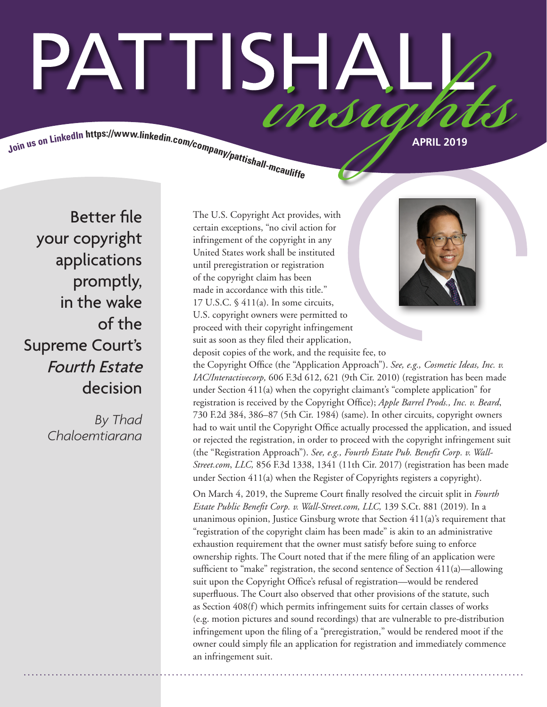# PATTISHA <u>INNA IN</u>

Join us on LinkedIn https://www.linkedin.com/company/pattishall-measures

Better file your copyright applications promptly, in the wake of the Supreme Court's Fourth Estate decision

> *By Thad Chaloemtiarana*

The U.S. Copyright Act provides, with certain exceptions, "no civil action for infringement of the copyright in any United States work shall be instituted until preregistration or registration of the copyright claim has been made in accordance with this title." 17 U.S.C. § 411(a). In some circuits, U.S. copyright owners were permitted to proceed with their copyright infringement suit as soon as they filed their application, deposit copies of the work, and the requisite fee, to



the Copyright Office (the "Application Approach"). *See, e.g., Cosmetic Ideas, Inc. v. IAC/Interactivecorp,* 606 F.3d 612, 621 (9th Cir. 2010) (registration has been made under Section 411(a) when the copyright claimant's "complete application" for registration is received by the Copyright Office); *Apple Barrel Prods., Inc. v. Beard*, 730 F.2d 384, 386–87 (5th Cir. 1984) (same). In other circuits, copyright owners had to wait until the Copyright Office actually processed the application, and issued or rejected the registration, in order to proceed with the copyright infringement suit (the "Registration Approach"). *See, e.g., Fourth Estate Pub. Benefit Corp. v. Wall-Street.com*, *LLC,* 856 F.3d 1338, 1341 (11th Cir. 2017) (registration has been made under Section 411(a) when the Register of Copyrights registers a copyright).

On March 4, 2019, the Supreme Court finally resolved the circuit split in *Fourth Estate Public Benefit Corp. v. Wall-Street.com, LLC,* 139 S.Ct. 881 (2019)*.* In a unanimous opinion, Justice Ginsburg wrote that Section 411(a)'s requirement that "registration of the copyright claim has been made" is akin to an administrative exhaustion requirement that the owner must satisfy before suing to enforce ownership rights. The Court noted that if the mere filing of an application were sufficient to "make" registration, the second sentence of Section 411(a)—allowing suit upon the Copyright Office's refusal of registration—would be rendered superfluous. The Court also observed that other provisions of the statute, such as Section 408(f) which permits infringement suits for certain classes of works (e.g. motion pictures and sound recordings) that are vulnerable to pre-distribution infringement upon the filing of a "preregistration," would be rendered moot if the owner could simply file an application for registration and immediately commence an infringement suit.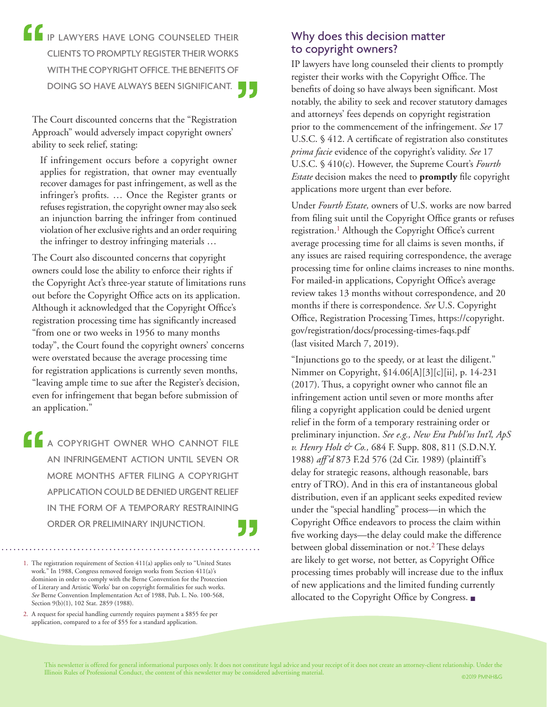**IP LAWYERS HAVE LONG COUNSELED THEIR** CLIENTS TO PROMPTLY REGISTER THEIR WORKS WITH THE COPYRIGHT OFFICE. THE BENEFITS OF DOING SO HAVE ALWAYS BEEN SIGNIFICANT.

The Court discounted concerns that the "Registration Approach" would adversely impact copyright owners' ability to seek relief, stating:

If infringement occurs before a copyright owner applies for registration, that owner may eventually recover damages for past infringement, as well as the infringer's profits. … Once the Register grants or refuses registration, the copyright owner may also seek an injunction barring the infringer from continued violation of her exclusive rights and an order requiring the infringer to destroy infringing materials …

The Court also discounted concerns that copyright owners could lose the ability to enforce their rights if the Copyright Act's three-year statute of limitations runs out before the Copyright Office acts on its application. Although it acknowledged that the Copyright Office's registration processing time has significantly increased "from one or two weeks in 1956 to many months today", the Court found the copyright owners' concerns were overstated because the average processing time for registration applications is currently seven months, "leaving ample time to sue after the Register's decision, even for infringement that began before submission of an application."

**A COPYRIGHT OWNER WHO CANNOT FILE** AN INFRINGEMENT ACTION UNTIL SEVEN OR MORE MONTHS AFTER FILING A COPYRIGHT APPLICATION COULD BE DENIED URGENT RELIEF IN THE FORM OF A TEMPORARY RESTRAINING ORDER OR PRELIMINARY INJUNCTION.

## Why does this decision matter to copyright owners?

IP lawyers have long counseled their clients to promptly register their works with the Copyright Office. The benefits of doing so have always been significant. Most notably, the ability to seek and recover statutory damages and attorneys' fees depends on copyright registration prior to the commencement of the infringement. *See* 17 U.S.C. § 412. A certificate of registration also constitutes *prima facie* evidence of the copyright's validity. *See* 17 U.S.C. § 410(c). However, the Supreme Court's *Fourth Estate* decision makes the need to **promptly** file copyright applications more urgent than ever before.

Under *Fourth Estate,* owners of U.S. works are now barred from filing suit until the Copyright Office grants or refuses registration.<sup>1</sup> Although the Copyright Office's current average processing time for all claims is seven months, if any issues are raised requiring correspondence, the average processing time for online claims increases to nine months. For mailed-in applications, Copyright Office's average review takes 13 months without correspondence, and 20 months if there is correspondence. *See* U.S. Copyright Office, Registration Processing Times, https://copyright. gov/registration/docs/processing-times-faqs.pdf (last visited March 7, 2019).

"Injunctions go to the speedy, or at least the diligent." Nimmer on Copyright, §14.06[A][3][c][ii], p. 14-231 (2017). Thus, a copyright owner who cannot file an infringement action until seven or more months after filing a copyright application could be denied urgent relief in the form of a temporary restraining order or preliminary injunction. *See e.g., New Era Publ'ns Int'l, ApS v. Henry Holt & Co.,* 684 F. Supp. 808, 811 (S.D.N.Y. 1988) *aff'd* 873 F.2d 576 (2d Cir. 1989) (plaintiff's delay for strategic reasons, although reasonable, bars entry of TRO). And in this era of instantaneous global distribution, even if an applicant seeks expedited review under the "special handling" process—in which the Copyright Office endeavors to process the claim within five working days—the delay could make the difference between global dissemination or not.<sup>2</sup> These delays are likely to get worse, not better, as Copyright Office processing times probably will increase due to the influx of new applications and the limited funding currently allocated to the Copyright Office by Congress. ■

 <sup>1.</sup> The registration requirement of Section 411(a) applies only to "United States work." In 1988, Congress removed foreign works from Section 411(a)'s dominion in order to comply with the Berne Convention for the Protection of Literary and Artistic Works' bar on copyright formalities for such works. *See* Berne Convention Implementation Act of 1988, Pub. L. No. 100-568, Section 9(b)(1), 102 Stat. 2859 (1988).

 <sup>2.</sup> A request for special handling currently requires payment a \$855 fee per application, compared to a fee of \$55 for a standard application.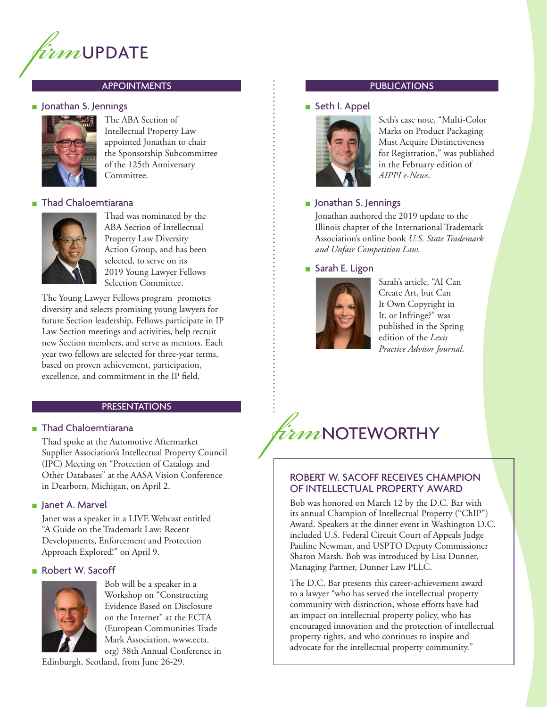

#### ■ Jonathan S. Jennings



The ABA Section of Intellectual Property Law appointed Jonathan to chair the Sponsorship Subcommittee of the 125th Anniversary Committee.

#### ■ Thad Chaloemtiarana



Thad was nominated by the ABA Section of Intellectual Property Law Diversity Action Group, and has been selected, to serve on its 2019 Young Lawyer Fellows Selection Committee.

The Young Lawyer Fellows program promotes diversity and selects promising young lawyers for future Section leadership. Fellows participate in IP Law Section meetings and activities, help recruit new Section members, and serve as mentors. Each year two fellows are selected for three-year terms, based on proven achievement, participation, excellence, and commitment in the IP field.

#### PRESENTATIONS

#### ■ Thad Chaloemtiarana

Thad spoke at the Automotive Aftermarket Supplier Association's Intellectual Property Council (IPC) Meeting on "Protection of Catalogs and Other Databases" at the AASA Vision Conference in Dearborn, Michigan, on April 2.

#### ■ Janet A. Marvel

Janet was a speaker in a LIVE Webcast entitled "A Guide on the Trademark Law: Recent Developments, Enforcement and Protection Approach Explored!" on April 9.

#### ■ Robert W. Sacoff



Bob will be a speaker in a Workshop on "Constructing Evidence Based on Disclosure on the Internet" at the ECTA (European Communities Trade Mark Association, www.ecta. org) 38th Annual Conference in

Edinburgh, Scotland, from June 26-29.

#### APPOINTMENTS **APPOINTMENTS**

#### ■ Seth I. Appel



Seth's case note, "Multi-Color Marks on Product Packaging Must Acquire Distinctiveness for Registration," was published in the February edition of *AIPPI e-News*.

#### ■ Jonathan S. Jennings

Jonathan authored the 2019 update to the Illinois chapter of the International Trademark Association's online book *U.S. State Trademark and Unfair Competition Law*.

#### ■ Sarah E. Ligon



Sarah's article, "AI Can Create Art, but Can It Own Copyright in It, or Infringe?" was published in the Spring edition of the *Lexis Practice Advisor Journal*.



### ROBERT W. SACOFF RECEIVES CHAMPION OF INTELLECTUAL PROPERTY AWARD

Bob was honored on March 12 by the D.C. Bar with its annual Champion of Intellectual Property ("ChIP") Award. Speakers at the dinner event in Washington D.C. included U.S. Federal Circuit Court of Appeals Judge Pauline Newman, and USPTO Deputy Commissioner Sharon Marsh. Bob was introduced by Lisa Dunner, Managing Partner, Dunner Law PLLC.

The D.C. Bar presents this career-achievement award to a lawyer "who has served the intellectual property community with distinction, whose efforts have had an impact on intellectual property policy, who has encouraged innovation and the protection of intellectual property rights, and who continues to inspire and advocate for the intellectual property community."